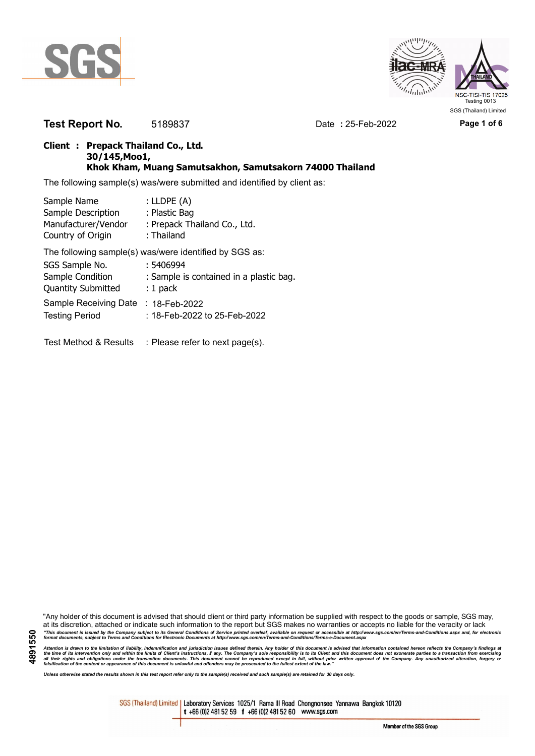

**4891550**



**Test Report No.** 5189837 Date **:** 25-Feb-2022 **Page 1 of 6**

### **Client : Prepack Thailand Co., Ltd. 30/145,Moo1, Khok Kham, Muang Samutsakhon, Samutsakorn 74000 Thailand**

The following sample(s) was/were submitted and identified by client as:

| Sample Name                      | : LLDPE $(A)$                                          |
|----------------------------------|--------------------------------------------------------|
| Sample Description               | : Plastic Bag                                          |
| Manufacturer/Vendor              | : Prepack Thailand Co., Ltd.                           |
| Country of Origin                | : Thailand                                             |
|                                  | The following sample(s) was/were identified by SGS as: |
| SGS Sample No.                   | : 5406994                                              |
| Sample Condition                 | : Sample is contained in a plastic bag.                |
| <b>Quantity Submitted</b>        | $: 1$ pack                                             |
| Sample Receiving Date            | $: 18$ -Feb-2022                                       |
| <b>Testing Period</b>            | :18-Feb-2022 to 25-Feb-2022                            |
|                                  |                                                        |
| <b>Test Method &amp; Results</b> | : Please refer to next page(s).                        |

"Any holder of this document is advised that should client or third party information be supplied with respect to the goods or sample, SGS may, at its discretion, attached or indicate such information to the report but SGS makes no warranties or accepts no liable for the veracity or lack "This document is issued by the Company subject to its General Conditions of Service printed overleaf, available on request or accessible at http://www.sgs.com/en/Terms-and-Conditions.aspx and, for electronic<br>format docume

Attention is drawn to the limitation of liability, indemnification and jurisdiction issues defined therein. Any holder of this document is advised that information contained hereon reflects the Company's findings at<br>all th

*Unless otherwise stated the results shown in this test report refer only to the sample(s) received and such sample(s) are retained for 30 days only.*

SGS (Thailand) Limited | Laboratory Services 1025/1 Rama III Road Chongnonsee Yannawa Bangkok 10120 t +66 (0)2 481 52 59 f +66 (0)2 481 52 60 www.sgs.com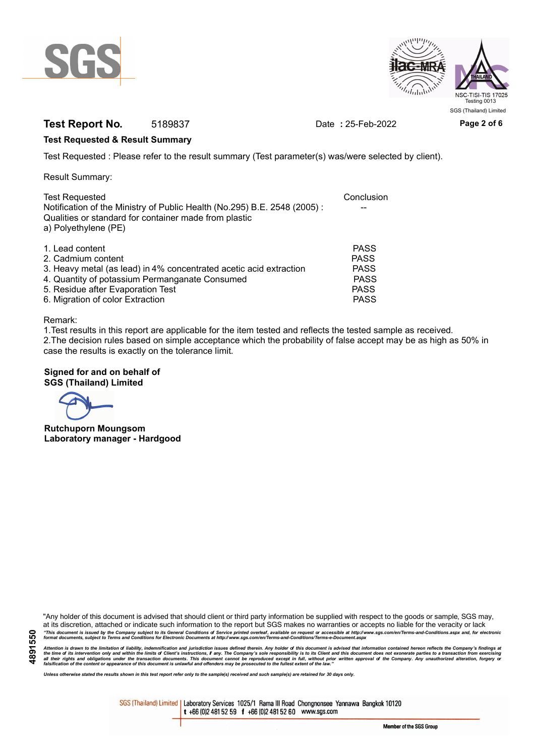



## **Test Report No.** 5189837 Date **:** 25-Feb-2022 **Page 2 of 6**

### **Test Requested & Result Summary**

Test Requested : Please refer to the result summary (Test parameter(s) was/were selected by client).

Result Summary:

| <b>Test Requested</b><br>Notification of the Ministry of Public Health (No.295) B.E. 2548 (2005): | Conclusion  |
|---------------------------------------------------------------------------------------------------|-------------|
| Qualities or standard for container made from plastic<br>a) Polyethylene (PE)                     |             |
| 1. Lead content                                                                                   | <b>PASS</b> |
| 2. Cadmium content                                                                                | <b>PASS</b> |
| 3. Heavy metal (as lead) in 4% concentrated acetic acid extraction                                | <b>PASS</b> |
| 4. Quantity of potassium Permanganate Consumed                                                    | <b>PASS</b> |
| 5. Residue after Evaporation Test                                                                 | <b>PASS</b> |
| 6. Migration of color Extraction                                                                  | <b>PASS</b> |

#### Remark:

1.Test results in this report are applicable for the item tested and reflects the tested sample as received. 2.The decision rules based on simple acceptance which the probability of false accept may be as high as 50% in case the results is exactly on the tolerance limit.

### **Signed for and on behalf of SGS (Thailand) Limited**

**Rutchuporn Moungsom Laboratory manager - Hardgood**

"Any holder of this document is advised that should client or third party information be supplied with respect to the goods or sample, SGS may, at its discretion, attached or indicate such information to the report but SGS makes no warranties or accepts no liable for the veracity or lack "This document is issued by the Company subject to its General Conditions of Service printed overleaf, available on request or accessible at http://www.sgs.com/en/Terms-and-Conditions.aspx and, for electronic<br>format docume

Attention is drawn to the limitation of liability, indemnification and jurisdiction issues defined therein. Any holder of this document is advised that information contained hereon reflects the Company's findings at<br>all th

*Unless otherwise stated the results shown in this test report refer only to the sample(s) received and such sample(s) are retained for 30 days only.*

SGS (Thailand) Limited | Laboratory Services 1025/1 Rama III Road Chongnonsee Yannawa Bangkok 10120 t +66 (0)2 481 52 59 f +66 (0)2 481 52 60 www.sgs.com

Member of the SGS Group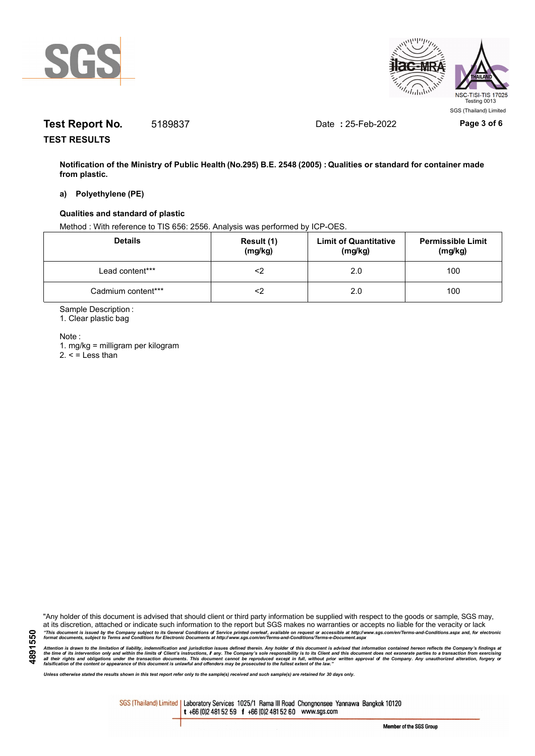



# **Test Report No.** 5189837 Date **:** 25-Feb-2022 **Page 3 of 6**

**TEST RESULTS**

**Notification of the Ministry of Public Health (No.295) B.E. 2548 (2005) : Qualities or standard for container made from plastic.**

#### **a) Polyethylene (PE)**

#### **Qualities and standard of plastic**

Method : With reference to TIS 656: 2556. Analysis was performed by ICP-OES.

| <b>Details</b>     | Result (1)<br>(mg/kg) | <b>Limit of Quantitative</b><br>(mg/kg) | <b>Permissible Limit</b><br>(mg/kg) |
|--------------------|-----------------------|-----------------------------------------|-------------------------------------|
| Lead content***    | <2                    | 2.0                                     | 100                                 |
| Cadmium content*** |                       | 2.0                                     | 100                                 |

Sample Description :

1. Clear plastic bag

Note :

**4891550**

1. mg/kg = milligram per kilogram  $2. <$  = Less than

"Any holder of this document is advised that should client or third party information be supplied with respect to the goods or sample, SGS may, at its discretion, attached or indicate such information to the report but SGS makes no warranties or accepts no liable for the veracity or lack "This document is issued by the Company subject to its General Conditions of Service printed overleaf, available on request or accessible at http://www.sgs.com/en/Terms-and-Conditions.aspx and, for electronic<br>format docume

Attention is drawn to the limitation of liability, indemnification and jurisdiction issues defined therein. Any holder of this document is advised that information contained hereon reflects the Company's findings at<br>all th

*Unless otherwise stated the results shown in this test report refer only to the sample(s) received and such sample(s) are retained for 30 days only.*

SGS (Thailand) Limited | Laboratory Services 1025/1 Rama III Road Chongnonsee Yannawa Bangkok 10120 t +66 (0)2 481 52 59 f +66 (0)2 481 52 60 www.sgs.com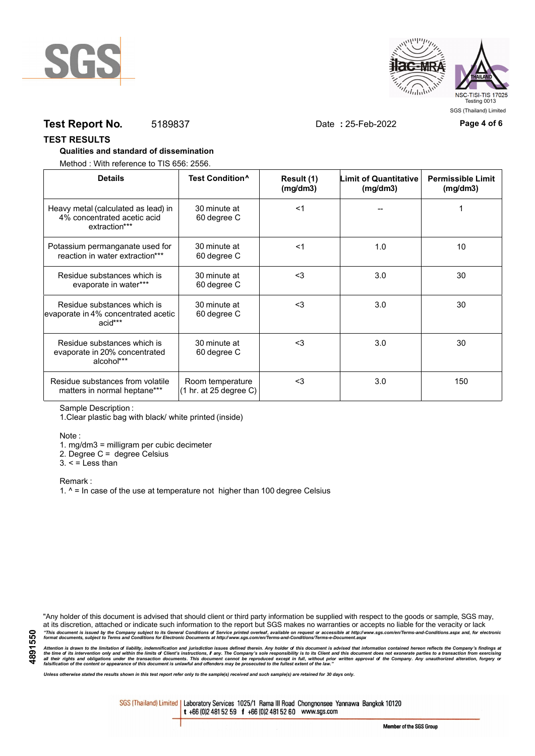



## **Test Report No.** 5189837 Date **:** 25-Feb-2022 **Page 4 of 6**

#### **TEST RESULTS**

#### **Qualities and standard of dissemination**

Method : With reference to TIS 656: 2556.

| <b>Details</b>                                                                      | Test Condition <sup>^</sup>                | Result (1)<br>(mg/dm3) | Limit of Quantitative<br>(mg/dm3) | <b>Permissible Limit</b><br>(mg/dm3) |
|-------------------------------------------------------------------------------------|--------------------------------------------|------------------------|-----------------------------------|--------------------------------------|
| Heavy metal (calculated as lead) in<br>4% concentrated acetic acid<br>extraction*** | 30 minute at<br>60 degree C                | $<$ 1                  |                                   |                                      |
| Potassium permanganate used for<br>reaction in water extraction***                  | 30 minute at<br>60 degree C                | $<$ 1                  | 1.0                               | 10                                   |
| Residue substances which is<br>evaporate in water***                                | 30 minute at<br>60 degree C                | $3$                    | 3.0                               | 30                                   |
| Residue substances which is<br>evaporate in 4% concentrated acetic<br>acid***       | 30 minute at<br>60 degree C                | <3                     | 3.0                               | 30                                   |
| Residue substances which is<br>evaporate in 20% concentrated<br>alcohol***          | 30 minute at<br>60 degree C                | $3$                    | 3.0                               | 30                                   |
| Residue substances from volatile<br>matters in normal heptane***                    | Room temperature<br>(1 hr. at 25 degree C) | $3$                    | 3.0                               | 150                                  |

Sample Description :

1.Clear plastic bag with black/ white printed (inside)

Note :

1. mg/dm3 = milligram per cubic decimeter

2. Degree C = degree Celsius

 $3. <$  = Less than

Remark :

1.  $^{\circ}$  = In case of the use at temperature not higher than 100 degree Celsius

"Any holder of this document is advised that should client or third party information be supplied with respect to the goods or sample, SGS may, at its discretion, attached or indicate such information to the report but SGS makes no warranties or accepts no liable for the veracity or lack "This document is issued by the Company subject to its General Conditions of Service printed overleaf, available on request or accessible at http://www.sgs.com/en/Terms-and-Conditions.aspx and, for electronic<br>format docume

Attention is drawn to the limitation of liability, indemnification and jurisdiction issues defined therein. Any holder of this document is advised that information contained hereon reflects the Company's findings at<br>all th

*Unless otherwise stated the results shown in this test report refer only to the sample(s) received and such sample(s) are retained for 30 days only.*

SGS (Thailand) Limited | Laboratory Services 1025/1 Rama III Road Chongnonsee Yannawa Bangkok 10120 t +66 (0)2 481 52 59 f +66 (0)2 481 52 60 www.sgs.com

Member of the SGS Group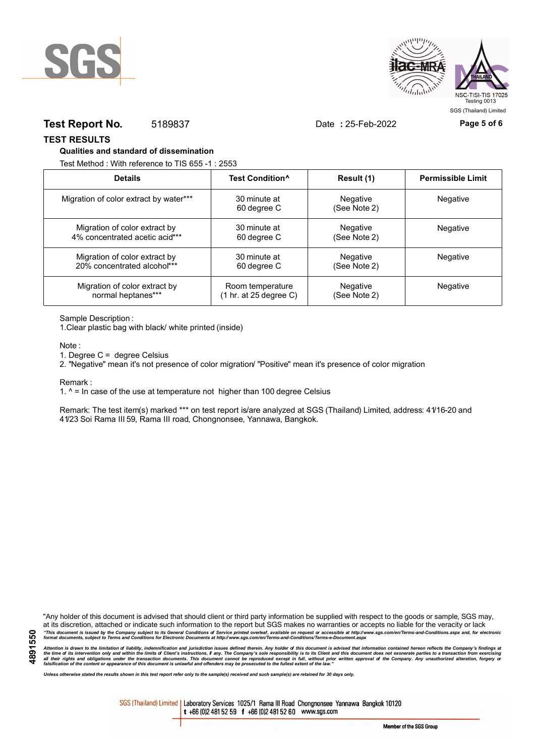



## **Test Report No.** 5189837 Date **:** 25-Feb-2022 **Page 5 of 6**

**TEST RESULTS**

#### **Qualities and standard of dissemination**

Test Method : With reference to TIS 655 -1 : 2553

| <b>Details</b>                         | Test Condition <sup>^</sup>               | Result (1)               | <b>Permissible Limit</b> |
|----------------------------------------|-------------------------------------------|--------------------------|--------------------------|
| Migration of color extract by water*** | 30 minute at<br>60 degree C               | Negative<br>(See Note 2) | Negative                 |
| Migration of color extract by          | 30 minute at                              | Negative                 | Negative                 |
| 4% concentrated acetic acid***         | 60 degree C                               | (See Note 2)             |                          |
| Migration of color extract by          | 30 minute at                              | Negative                 | Negative                 |
| 20% concentrated alcohol***            | 60 degree C                               | (See Note 2)             |                          |
| Migration of color extract by          | Room temperature                          | Negative                 | Negative                 |
| normal heptanes***                     | $(1 \text{ hr. at } 25 \text{ degree C})$ | (See Note 2)             |                          |

Sample Description :

1.Clear plastic bag with black/ white printed (inside)

Note :

1. Degree C = degree Celsius

2. "Negative" mean it's not presence of color migration/ "Positive" mean it's presence of color migration

Remark :

1.  $^{\circ}$  = In case of the use at temperature not higher than 100 degree Celsius

Remark: The test item(s) marked \*\*\* on test report is/are analyzed at SGS (Thailand) Limited, address: 41/16-20 and 41/23 Soi Rama III 59, Rama III road, Chongnonsee, Yannawa, Bangkok.

**4891550**

"Any holder of this document is advised that should client or third party information be supplied with respect to the goods or sample, SGS may, at its discretion, attached or indicate such information to the report but SGS makes no warranties or accepts no liable for the veracity or lack "This document is issued by the Company subject to its General Conditions of Service printed overleaf, available on request or accessible at http://www.sgs.com/en/Terms-and-Conditions.aspx and, for electronic<br>format docume

Attention is drawn to the limitation of liability, indemnification and jurisdiction issues defined therein. Any holder of this document is advised that information contained hereon reflects the Company's findings at<br>all th

*Unless otherwise stated the results shown in this test report refer only to the sample(s) received and such sample(s) are retained for 30 days only.*

SGS (Thailand) Limited | Laboratory Services 1025/1 Rama III Road Chongnonsee Yannawa Bangkok 10120 t +66 (0)2 481 52 59 f +66 (0)2 481 52 60 www.sgs.com